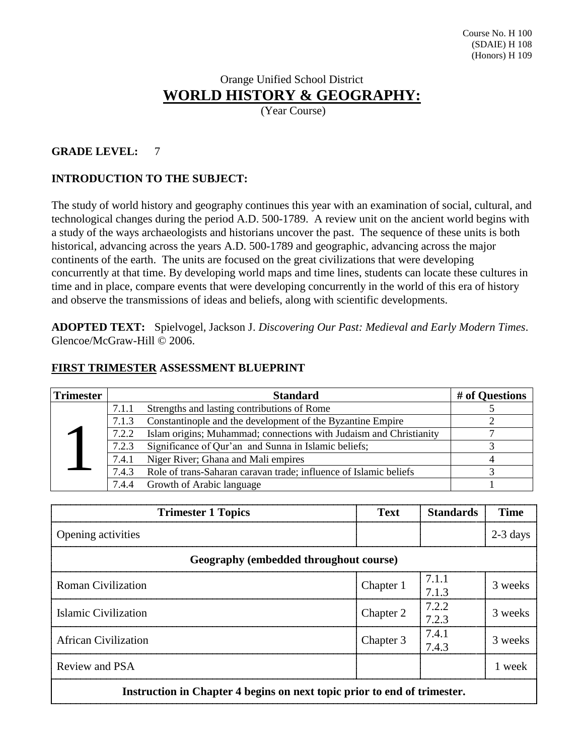# Orange Unified School District **WORLD HISTORY & GEOGRAPHY:**

(Year Course)

#### **GRADE LEVEL:** 7

# **INTRODUCTION TO THE SUBJECT:**

The study of world history and geography continues this year with an examination of social, cultural, and technological changes during the period A.D. 500-1789. A review unit on the ancient world begins with a study of the ways archaeologists and historians uncover the past. The sequence of these units is both historical, advancing across the years A.D. 500-1789 and geographic, advancing across the major continents of the earth. The units are focused on the great civilizations that were developing concurrently at that time. By developing world maps and time lines, students can locate these cultures in time and in place, compare events that were developing concurrently in the world of this era of history and observe the transmissions of ideas and beliefs, along with scientific developments.

**ADOPTED TEXT:** Spielvogel, Jackson J. *Discovering Our Past: Medieval and Early Modern Times*. Glencoe/McGraw-Hill © 2006.

| <b>Trimester</b> |       | <b>Standard</b>                                                    | # of Questions |
|------------------|-------|--------------------------------------------------------------------|----------------|
|                  | 7.1.1 | Strengths and lasting contributions of Rome                        |                |
|                  | 7.1.3 | Constantinople and the development of the Byzantine Empire         |                |
|                  | 7.2.2 | Islam origins; Muhammad; connections with Judaism and Christianity |                |
|                  | 7.2.3 | Significance of Qur'an and Sunna in Islamic beliefs;               |                |
|                  | 7.4.1 | Niger River; Ghana and Mali empires                                |                |
|                  | 7.4.3 | Role of trans-Saharan caravan trade; influence of Islamic beliefs  |                |
|                  | 7.4.4 | Growth of Arabic language                                          |                |

#### **FIRST TRIMESTER ASSESSMENT BLUEPRINT**

| <b>Trimester 1 Topics</b>                                                | Text      | <b>Standards</b> | Time       |
|--------------------------------------------------------------------------|-----------|------------------|------------|
| Opening activities                                                       |           |                  | $2-3$ days |
| Geography (embedded throughout course)                                   |           |                  |            |
| <b>Roman Civilization</b>                                                | Chapter 1 | 7.1.1<br>7.1.3   | 3 weeks    |
| Islamic Civilization                                                     | Chapter 2 | 7.2.2<br>7.2.3   | 3 weeks    |
| <b>African Civilization</b>                                              | Chapter 3 | 7.4.1<br>7.43    | 3 weeks    |
| Review and PSA                                                           |           |                  | 1 week     |
| Instruction in Chapter 4 begins on next topic prior to end of trimester. |           |                  |            |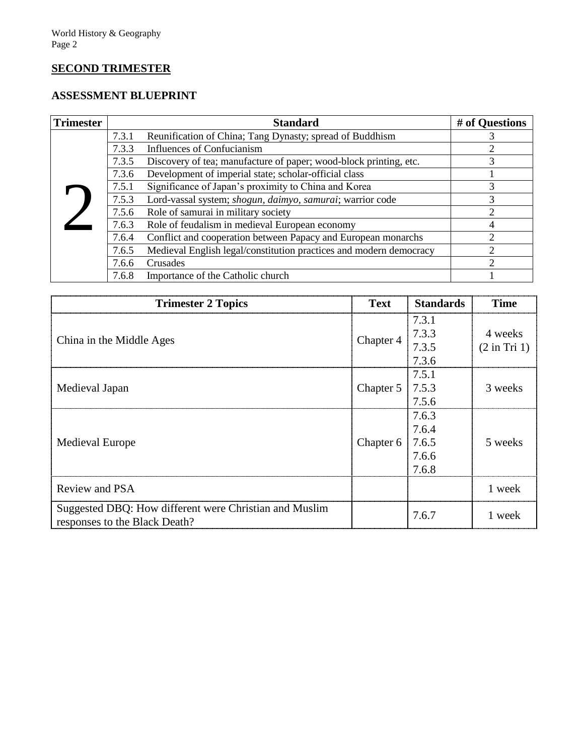# **SECOND TRIMESTER**

# **ASSESSMENT BLUEPRINT**

| <b>Trimester</b> |       | <b>Standard</b>                                                    | # of Questions |
|------------------|-------|--------------------------------------------------------------------|----------------|
|                  | 7.3.1 | Reunification of China; Tang Dynasty; spread of Buddhism           |                |
|                  | 7.3.3 | Influences of Confucianism                                         | 2              |
|                  | 7.3.5 | Discovery of tea; manufacture of paper; wood-block printing, etc.  | 3              |
|                  | 7.3.6 | Development of imperial state; scholar-official class              |                |
|                  | 7.5.1 | Significance of Japan's proximity to China and Korea               | 3              |
|                  | 7.5.3 | Lord-vassal system; shogun, daimyo, samurai; warrior code          | 3              |
|                  | 7.5.6 | Role of samurai in military society                                | ↑              |
|                  | 7.6.3 | Role of feudalism in medieval European economy                     |                |
|                  | 7.6.4 | Conflict and cooperation between Papacy and European monarchs      | ↑              |
|                  | 7.6.5 | Medieval English legal/constitution practices and modern democracy | $\mathfrak{D}$ |
|                  | 7.6.6 | Crusades                                                           | $\mathfrak{D}$ |
|                  | 7.6.8 | Importance of the Catholic church                                  |                |

| <b>Trimester 2 Topics</b>                                                               | <b>Text</b>            | <b>Standards</b>                 | <b>Time</b>                        |
|-----------------------------------------------------------------------------------------|------------------------|----------------------------------|------------------------------------|
| China in the Middle Ages                                                                | Chapter 4              | 7.3.1<br>7.3.3<br>7.3.5<br>7.3.6 | 4 weeks<br>$(2 \text{ in Tri } 1)$ |
| Medieval Japan                                                                          | Chapter 5 7.5.3        | 7.5.1<br>7.5.6                   | 3 weeks                            |
| <b>Medieval Europe</b>                                                                  | Chapter $6 \mid 7.6.5$ | 7.6.3<br>7.6.4<br>7.6.6<br>7.6.8 | 5 weeks                            |
| Review and PSA                                                                          |                        |                                  | 1 week                             |
| Suggested DBQ: How different were Christian and Muslim<br>responses to the Black Death? |                        | 7.6.7                            | 1 week                             |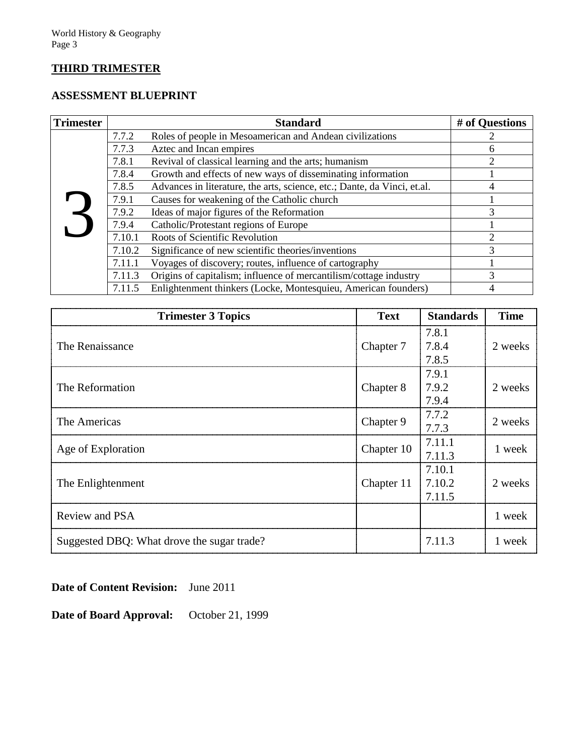# **THIRD TRIMESTER**

# **ASSESSMENT BLUEPRINT**

| <b>Trimester</b> |        | <b>Standard</b>                                                          | # of Questions |
|------------------|--------|--------------------------------------------------------------------------|----------------|
|                  | 7.7.2  | Roles of people in Mesoamerican and Andean civilizations                 |                |
|                  | 7.7.3  | Aztec and Incan empires                                                  | 6              |
|                  | 7.8.1  | Revival of classical learning and the arts; humanism                     | 2              |
|                  | 7.8.4  | Growth and effects of new ways of disseminating information              |                |
|                  | 7.8.5  | Advances in literature, the arts, science, etc.; Dante, da Vinci, et.al. | 4              |
|                  | 7.9.1  | Causes for weakening of the Catholic church                              |                |
|                  | 7.9.2  | Ideas of major figures of the Reformation                                | 3              |
|                  | 7.9.4  | Catholic/Protestant regions of Europe                                    |                |
|                  | 7.10.1 | Roots of Scientific Revolution                                           | 2              |
|                  | 7.10.2 | Significance of new scientific theories/inventions                       | 3              |
|                  | 7.11.1 | Voyages of discovery; routes, influence of cartography                   |                |
|                  | 7.11.3 | Origins of capitalism; influence of mercantilism/cottage industry        | 3              |
|                  | 7.11.5 | Enlightenment thinkers (Locke, Montesquieu, American founders)           | 4              |

| <b>Trimester 3 Topics</b>                  | <b>Text</b> | <b>Standards</b>           | <b>Time</b> |
|--------------------------------------------|-------------|----------------------------|-------------|
| The Renaissance                            | Chapter 7   | 7.8.1<br>7.8.4<br>7.8.5    | 2 weeks     |
| The Reformation                            | Chapter 8   | 7.9.1<br>7.9.2<br>7.9.4    | 2 weeks     |
| The Americas                               | Chapter 9   | 7.7.2<br>7.7.3             | 2 weeks     |
| Age of Exploration                         | Chapter 10  | 7.11.1<br>7.11.3           | 1 week      |
| The Enlightenment                          | Chapter 11  | 7.10.1<br>7.10.2<br>7.11.5 | 2 weeks     |
| Review and PSA                             |             |                            | 1 week      |
| Suggested DBQ: What drove the sugar trade? |             | 7.11.3                     | 1 week      |

**Date of Content Revision:** June 2011

**Date of Board Approval:** October 21, 1999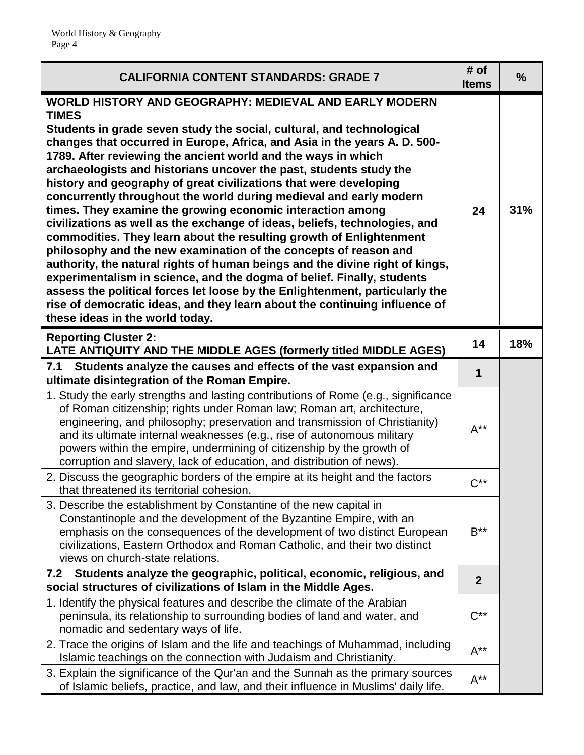| <b>CALIFORNIA CONTENT STANDARDS: GRADE 7</b>                                                                                                                                                                                                                                                                                                                                                                                                                                                                                                                                                                                                                                                                                                                                                                                                                                                                                                                                                                                                                                                                                                                            | # of<br><b>Items</b> | $\frac{9}{6}$ |
|-------------------------------------------------------------------------------------------------------------------------------------------------------------------------------------------------------------------------------------------------------------------------------------------------------------------------------------------------------------------------------------------------------------------------------------------------------------------------------------------------------------------------------------------------------------------------------------------------------------------------------------------------------------------------------------------------------------------------------------------------------------------------------------------------------------------------------------------------------------------------------------------------------------------------------------------------------------------------------------------------------------------------------------------------------------------------------------------------------------------------------------------------------------------------|----------------------|---------------|
| <b>WORLD HISTORY AND GEOGRAPHY: MEDIEVAL AND EARLY MODERN</b><br><b>TIMES</b><br>Students in grade seven study the social, cultural, and technological<br>changes that occurred in Europe, Africa, and Asia in the years A. D. 500-<br>1789. After reviewing the ancient world and the ways in which<br>archaeologists and historians uncover the past, students study the<br>history and geography of great civilizations that were developing<br>concurrently throughout the world during medieval and early modern<br>times. They examine the growing economic interaction among<br>civilizations as well as the exchange of ideas, beliefs, technologies, and<br>commodities. They learn about the resulting growth of Enlightenment<br>philosophy and the new examination of the concepts of reason and<br>authority, the natural rights of human beings and the divine right of kings,<br>experimentalism in science, and the dogma of belief. Finally, students<br>assess the political forces let loose by the Enlightenment, particularly the<br>rise of democratic ideas, and they learn about the continuing influence of<br>these ideas in the world today. |                      | 31%           |
| <b>Reporting Cluster 2:</b><br>LATE ANTIQUITY AND THE MIDDLE AGES (formerly titled MIDDLE AGES)                                                                                                                                                                                                                                                                                                                                                                                                                                                                                                                                                                                                                                                                                                                                                                                                                                                                                                                                                                                                                                                                         | 14                   | 18%           |
| Students analyze the causes and effects of the vast expansion and<br>7.1<br>ultimate disintegration of the Roman Empire.                                                                                                                                                                                                                                                                                                                                                                                                                                                                                                                                                                                                                                                                                                                                                                                                                                                                                                                                                                                                                                                | 1                    |               |
| 1. Study the early strengths and lasting contributions of Rome (e.g., significance<br>of Roman citizenship; rights under Roman law; Roman art, architecture,<br>engineering, and philosophy; preservation and transmission of Christianity)<br>and its ultimate internal weaknesses (e.g., rise of autonomous military<br>powers within the empire, undermining of citizenship by the growth of<br>corruption and slavery, lack of education, and distribution of news).                                                                                                                                                                                                                                                                                                                                                                                                                                                                                                                                                                                                                                                                                                | $A^{**}$             |               |
| 2. Discuss the geographic borders of the empire at its height and the factors<br>that threatened its territorial cohesion.                                                                                                                                                                                                                                                                                                                                                                                                                                                                                                                                                                                                                                                                                                                                                                                                                                                                                                                                                                                                                                              | $C^{**}$             |               |
| 3. Describe the establishment by Constantine of the new capital in<br>Constantinople and the development of the Byzantine Empire, with an<br>emphasis on the consequences of the development of two distinct European<br>civilizations, Eastern Orthodox and Roman Catholic, and their two distinct<br>views on church-state relations.                                                                                                                                                                                                                                                                                                                                                                                                                                                                                                                                                                                                                                                                                                                                                                                                                                 | $B^{\ast\ast}$       |               |
| Students analyze the geographic, political, economic, religious, and<br>7.2<br>social structures of civilizations of Islam in the Middle Ages.                                                                                                                                                                                                                                                                                                                                                                                                                                                                                                                                                                                                                                                                                                                                                                                                                                                                                                                                                                                                                          |                      |               |
| 1. Identify the physical features and describe the climate of the Arabian<br>peninsula, its relationship to surrounding bodies of land and water, and<br>nomadic and sedentary ways of life.                                                                                                                                                                                                                                                                                                                                                                                                                                                                                                                                                                                                                                                                                                                                                                                                                                                                                                                                                                            | $C^{**}$             |               |
| 2. Trace the origins of Islam and the life and teachings of Muhammad, including<br>Islamic teachings on the connection with Judaism and Christianity.                                                                                                                                                                                                                                                                                                                                                                                                                                                                                                                                                                                                                                                                                                                                                                                                                                                                                                                                                                                                                   | $A^{**}$             |               |
| 3. Explain the significance of the Qur'an and the Sunnah as the primary sources<br>of Islamic beliefs, practice, and law, and their influence in Muslims' daily life.                                                                                                                                                                                                                                                                                                                                                                                                                                                                                                                                                                                                                                                                                                                                                                                                                                                                                                                                                                                                   | $A^{**}$             |               |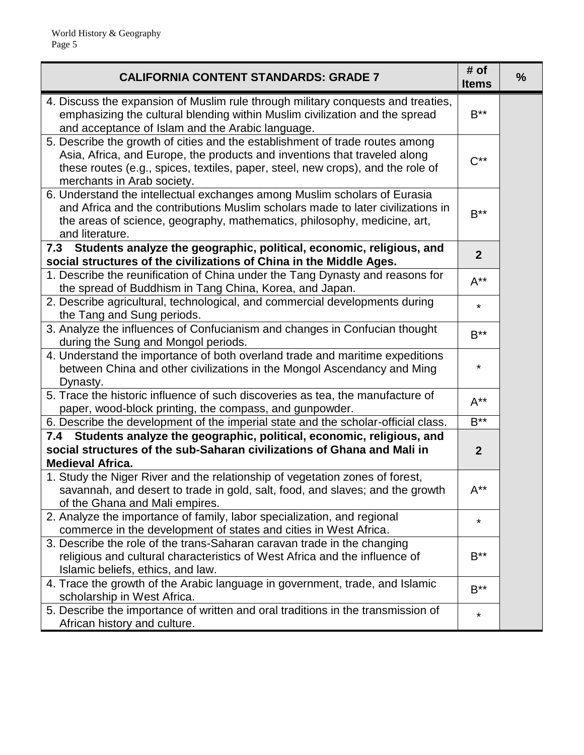| <b>CALIFORNIA CONTENT STANDARDS: GRADE 7</b>                                                                                                                                                                                                                               | # of<br><b>Items</b> | $\frac{0}{0}$ |
|----------------------------------------------------------------------------------------------------------------------------------------------------------------------------------------------------------------------------------------------------------------------------|----------------------|---------------|
| 4. Discuss the expansion of Muslim rule through military conquests and treaties,<br>emphasizing the cultural blending within Muslim civilization and the spread<br>and acceptance of Islam and the Arabic language.                                                        | $B^{\ast\ast}$       |               |
| 5. Describe the growth of cities and the establishment of trade routes among<br>Asia, Africa, and Europe, the products and inventions that traveled along<br>these routes (e.g., spices, textiles, paper, steel, new crops), and the role of<br>merchants in Arab society. | $C^{**}$             |               |
| 6. Understand the intellectual exchanges among Muslim scholars of Eurasia<br>and Africa and the contributions Muslim scholars made to later civilizations in<br>the areas of science, geography, mathematics, philosophy, medicine, art,<br>and literature.                | $B^{**}$             |               |
| Students analyze the geographic, political, economic, religious, and<br>7.3<br>social structures of the civilizations of China in the Middle Ages.                                                                                                                         | $\overline{2}$       |               |
| 1. Describe the reunification of China under the Tang Dynasty and reasons for<br>the spread of Buddhism in Tang China, Korea, and Japan.                                                                                                                                   | $A^{**}$             |               |
| 2. Describe agricultural, technological, and commercial developments during<br>the Tang and Sung periods.                                                                                                                                                                  | $\star$              |               |
| 3. Analyze the influences of Confucianism and changes in Confucian thought<br>during the Sung and Mongol periods.                                                                                                                                                          | $B***$               |               |
| 4. Understand the importance of both overland trade and maritime expeditions<br>between China and other civilizations in the Mongol Ascendancy and Ming<br>Dynasty.                                                                                                        | $\star$              |               |
| 5. Trace the historic influence of such discoveries as tea, the manufacture of<br>paper, wood-block printing, the compass, and gunpowder.                                                                                                                                  | $A^{**}$             |               |
| 6. Describe the development of the imperial state and the scholar-official class.                                                                                                                                                                                          | $B***$               |               |
| 7.4 Students analyze the geographic, political, economic, religious, and<br>social structures of the sub-Saharan civilizations of Ghana and Mali in<br><b>Medieval Africa.</b>                                                                                             | $\boldsymbol{2}$     |               |
| 1. Study the Niger River and the relationship of vegetation zones of forest,<br>savannah, and desert to trade in gold, salt, food, and slaves; and the growth<br>of the Ghana and Mali empires.                                                                            | $A^{**}$             |               |
| 2. Analyze the importance of family, labor specialization, and regional<br>commerce in the development of states and cities in West Africa.                                                                                                                                | $\star$              |               |
| 3. Describe the role of the trans-Saharan caravan trade in the changing<br>religious and cultural characteristics of West Africa and the influence of<br>Islamic beliefs, ethics, and law.                                                                                 | $B^{\ast\ast}$       |               |
| 4. Trace the growth of the Arabic language in government, trade, and Islamic<br>scholarship in West Africa.                                                                                                                                                                | $B^{\ast\ast}$       |               |
| 5. Describe the importance of written and oral traditions in the transmission of<br>African history and culture.                                                                                                                                                           | $\star$              |               |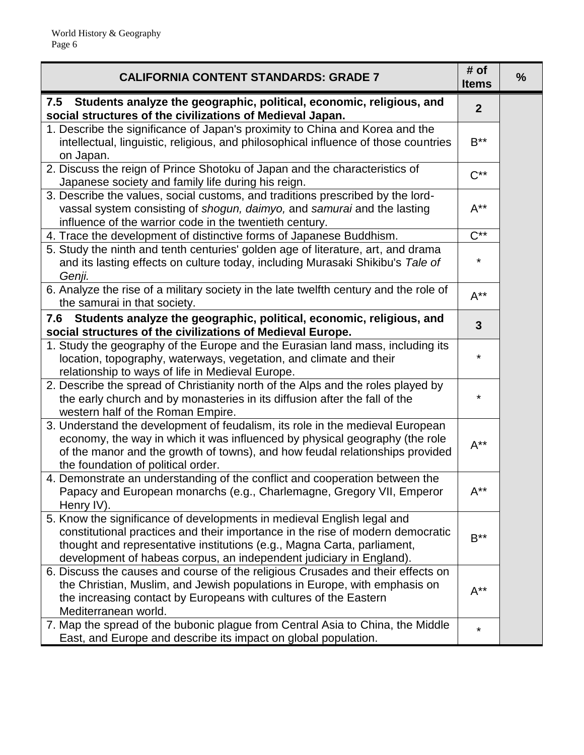| <b>CALIFORNIA CONTENT STANDARDS: GRADE 7</b>                                                                                                                                                                                                                                                               | # of<br><b>Items</b> | $\frac{0}{0}$ |
|------------------------------------------------------------------------------------------------------------------------------------------------------------------------------------------------------------------------------------------------------------------------------------------------------------|----------------------|---------------|
| 7.5 Students analyze the geographic, political, economic, religious, and<br>social structures of the civilizations of Medieval Japan.                                                                                                                                                                      | $\overline{2}$       |               |
| 1. Describe the significance of Japan's proximity to China and Korea and the<br>intellectual, linguistic, religious, and philosophical influence of those countries<br>on Japan.                                                                                                                           | $B***$               |               |
| 2. Discuss the reign of Prince Shotoku of Japan and the characteristics of<br>Japanese society and family life during his reign.                                                                                                                                                                           | $C^{**}$             |               |
| 3. Describe the values, social customs, and traditions prescribed by the lord-<br>vassal system consisting of shogun, daimyo, and samurai and the lasting<br>influence of the warrior code in the twentieth century.                                                                                       | $A^{**}$             |               |
| 4. Trace the development of distinctive forms of Japanese Buddhism.                                                                                                                                                                                                                                        | $C^{**}$             |               |
| 5. Study the ninth and tenth centuries' golden age of literature, art, and drama<br>and its lasting effects on culture today, including Murasaki Shikibu's Tale of<br>Genji.                                                                                                                               | *                    |               |
| 6. Analyze the rise of a military society in the late twelfth century and the role of<br>the samural in that society.                                                                                                                                                                                      | $A^{**}$             |               |
| 7.6 Students analyze the geographic, political, economic, religious, and<br>social structures of the civilizations of Medieval Europe.                                                                                                                                                                     | 3                    |               |
| 1. Study the geography of the Europe and the Eurasian land mass, including its<br>location, topography, waterways, vegetation, and climate and their<br>relationship to ways of life in Medieval Europe.                                                                                                   | *                    |               |
| 2. Describe the spread of Christianity north of the Alps and the roles played by<br>the early church and by monasteries in its diffusion after the fall of the<br>western half of the Roman Empire.                                                                                                        | ¥                    |               |
| 3. Understand the development of feudalism, its role in the medieval European<br>economy, the way in which it was influenced by physical geography (the role<br>of the manor and the growth of towns), and how feudal relationships provided<br>the foundation of political order.                         | $A^{**}$             |               |
| 4. Demonstrate an understanding of the conflict and cooperation between the<br>Papacy and European monarchs (e.g., Charlemagne, Gregory VII, Emperor<br>Henry IV).                                                                                                                                         | $A^{**}$             |               |
| 5. Know the significance of developments in medieval English legal and<br>constitutional practices and their importance in the rise of modern democratic<br>thought and representative institutions (e.g., Magna Carta, parliament,<br>development of habeas corpus, an independent judiciary in England). | $B***$               |               |
| 6. Discuss the causes and course of the religious Crusades and their effects on<br>the Christian, Muslim, and Jewish populations in Europe, with emphasis on<br>the increasing contact by Europeans with cultures of the Eastern<br>Mediterranean world.                                                   | $A^{**}$             |               |
| 7. Map the spread of the bubonic plague from Central Asia to China, the Middle<br>East, and Europe and describe its impact on global population.                                                                                                                                                           | ¥                    |               |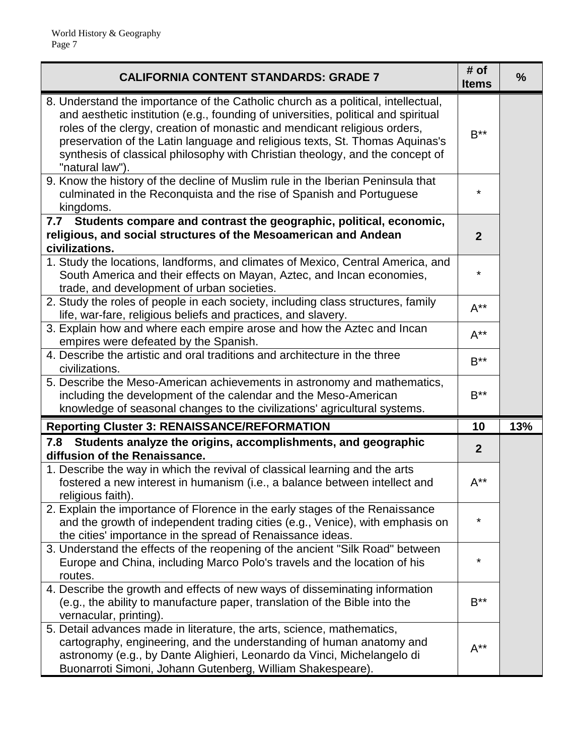| <b>CALIFORNIA CONTENT STANDARDS: GRADE 7</b>                                                                                                                                                                                                                                                                                                                                                                                             | # of<br><b>Items</b> | $\frac{9}{6}$ |
|------------------------------------------------------------------------------------------------------------------------------------------------------------------------------------------------------------------------------------------------------------------------------------------------------------------------------------------------------------------------------------------------------------------------------------------|----------------------|---------------|
| 8. Understand the importance of the Catholic church as a political, intellectual,<br>and aesthetic institution (e.g., founding of universities, political and spiritual<br>roles of the clergy, creation of monastic and mendicant religious orders,<br>preservation of the Latin language and religious texts, St. Thomas Aquinas's<br>synthesis of classical philosophy with Christian theology, and the concept of<br>"natural law"). | $B***$               |               |
| 9. Know the history of the decline of Muslim rule in the Iberian Peninsula that<br>culminated in the Reconquista and the rise of Spanish and Portuguese<br>kingdoms.                                                                                                                                                                                                                                                                     | $\star$              |               |
| 7.7 Students compare and contrast the geographic, political, economic,<br>religious, and social structures of the Mesoamerican and Andean<br>civilizations.                                                                                                                                                                                                                                                                              | $\overline{2}$       |               |
| 1. Study the locations, landforms, and climates of Mexico, Central America, and<br>South America and their effects on Mayan, Aztec, and Incan economies,<br>trade, and development of urban societies.                                                                                                                                                                                                                                   | $\star$              |               |
| 2. Study the roles of people in each society, including class structures, family<br>life, war-fare, religious beliefs and practices, and slavery.                                                                                                                                                                                                                                                                                        | $A^{**}$             |               |
| 3. Explain how and where each empire arose and how the Aztec and Incan<br>empires were defeated by the Spanish.                                                                                                                                                                                                                                                                                                                          | $A^{**}$             |               |
| 4. Describe the artistic and oral traditions and architecture in the three<br>civilizations.                                                                                                                                                                                                                                                                                                                                             | $B***$               |               |
| 5. Describe the Meso-American achievements in astronomy and mathematics,<br>including the development of the calendar and the Meso-American<br>knowledge of seasonal changes to the civilizations' agricultural systems.                                                                                                                                                                                                                 | $B^{\ast\ast}$       |               |
| <b>Reporting Cluster 3: RENAISSANCE/REFORMATION</b>                                                                                                                                                                                                                                                                                                                                                                                      | 10                   | 13%           |
| Students analyze the origins, accomplishments, and geographic<br>7.8<br>diffusion of the Renaissance.                                                                                                                                                                                                                                                                                                                                    | $\boldsymbol{2}$     |               |
| 1. Describe the way in which the revival of classical learning and the arts<br>fostered a new interest in humanism (i.e., a balance between intellect and<br>religious faith).                                                                                                                                                                                                                                                           | $A^{**}$             |               |
| 2. Explain the importance of Florence in the early stages of the Renaissance<br>and the growth of independent trading cities (e.g., Venice), with emphasis on<br>the cities' importance in the spread of Renaissance ideas.                                                                                                                                                                                                              | *                    |               |
| 3. Understand the effects of the reopening of the ancient "Silk Road" between<br>Europe and China, including Marco Polo's travels and the location of his<br>routes.                                                                                                                                                                                                                                                                     | *                    |               |
| 4. Describe the growth and effects of new ways of disseminating information<br>(e.g., the ability to manufacture paper, translation of the Bible into the<br>vernacular, printing).                                                                                                                                                                                                                                                      | $B^{\ast\ast}$       |               |
| 5. Detail advances made in literature, the arts, science, mathematics,<br>cartography, engineering, and the understanding of human anatomy and<br>astronomy (e.g., by Dante Alighieri, Leonardo da Vinci, Michelangelo di<br>Buonarroti Simoni, Johann Gutenberg, William Shakespeare).                                                                                                                                                  | $A^{**}$             |               |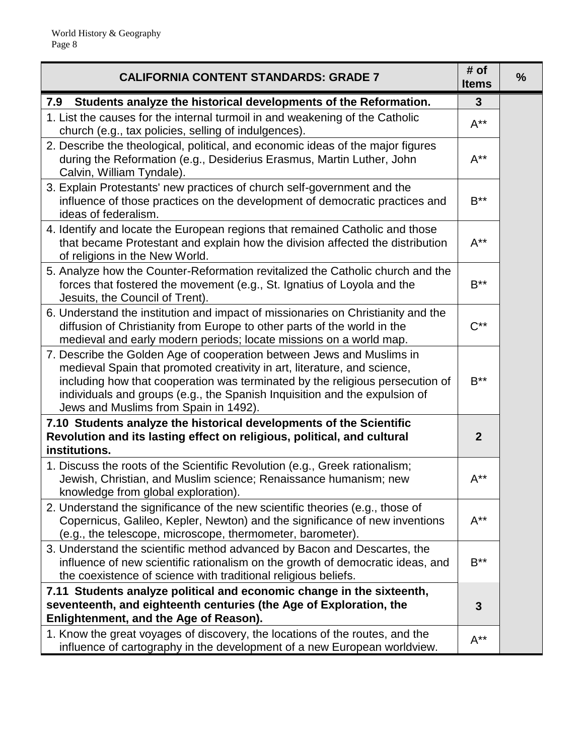| <b>CALIFORNIA CONTENT STANDARDS: GRADE 7</b>                                                                                                                                                                                                                                                                                                              | # of<br><b>Items</b>    | $\frac{9}{6}$ |
|-----------------------------------------------------------------------------------------------------------------------------------------------------------------------------------------------------------------------------------------------------------------------------------------------------------------------------------------------------------|-------------------------|---------------|
| 7.9<br>Students analyze the historical developments of the Reformation.                                                                                                                                                                                                                                                                                   | $\mathbf{3}$            |               |
| 1. List the causes for the internal turmoil in and weakening of the Catholic<br>church (e.g., tax policies, selling of indulgences).                                                                                                                                                                                                                      | $A^{**}$                |               |
| 2. Describe the theological, political, and economic ideas of the major figures<br>during the Reformation (e.g., Desiderius Erasmus, Martin Luther, John<br>Calvin, William Tyndale).                                                                                                                                                                     | $A^{**}$                |               |
| 3. Explain Protestants' new practices of church self-government and the<br>influence of those practices on the development of democratic practices and<br>ideas of federalism.                                                                                                                                                                            | $\mathsf{B}^{\ast\ast}$ |               |
| 4. Identify and locate the European regions that remained Catholic and those<br>that became Protestant and explain how the division affected the distribution<br>of religions in the New World.                                                                                                                                                           | $A^{**}$                |               |
| 5. Analyze how the Counter-Reformation revitalized the Catholic church and the<br>forces that fostered the movement (e.g., St. Ignatius of Loyola and the<br>Jesuits, the Council of Trent).                                                                                                                                                              | $B***$                  |               |
| 6. Understand the institution and impact of missionaries on Christianity and the<br>diffusion of Christianity from Europe to other parts of the world in the<br>medieval and early modern periods; locate missions on a world map.                                                                                                                        | $C^{**}$                |               |
| 7. Describe the Golden Age of cooperation between Jews and Muslims in<br>medieval Spain that promoted creativity in art, literature, and science,<br>including how that cooperation was terminated by the religious persecution of<br>individuals and groups (e.g., the Spanish Inquisition and the expulsion of<br>Jews and Muslims from Spain in 1492). | $B***$                  |               |
| 7.10 Students analyze the historical developments of the Scientific<br>Revolution and its lasting effect on religious, political, and cultural<br>institutions.                                                                                                                                                                                           | $\boldsymbol{2}$        |               |
| 1. Discuss the roots of the Scientific Revolution (e.g., Greek rationalism;<br>Jewish, Christian, and Muslim science; Renaissance humanism; new<br>knowledge from global exploration).                                                                                                                                                                    | $A^{**}$                |               |
| 2. Understand the significance of the new scientific theories (e.g., those of<br>Copernicus, Galileo, Kepler, Newton) and the significance of new inventions<br>(e.g., the telescope, microscope, thermometer, barometer).                                                                                                                                | $A^{**}$                |               |
| 3. Understand the scientific method advanced by Bacon and Descartes, the<br>influence of new scientific rationalism on the growth of democratic ideas, and<br>the coexistence of science with traditional religious beliefs.                                                                                                                              | $B***$                  |               |
| 7.11 Students analyze political and economic change in the sixteenth,<br>seventeenth, and eighteenth centuries (the Age of Exploration, the<br>Enlightenment, and the Age of Reason).                                                                                                                                                                     | 3                       |               |
| 1. Know the great voyages of discovery, the locations of the routes, and the<br>influence of cartography in the development of a new European worldview.                                                                                                                                                                                                  | $A^{**}$                |               |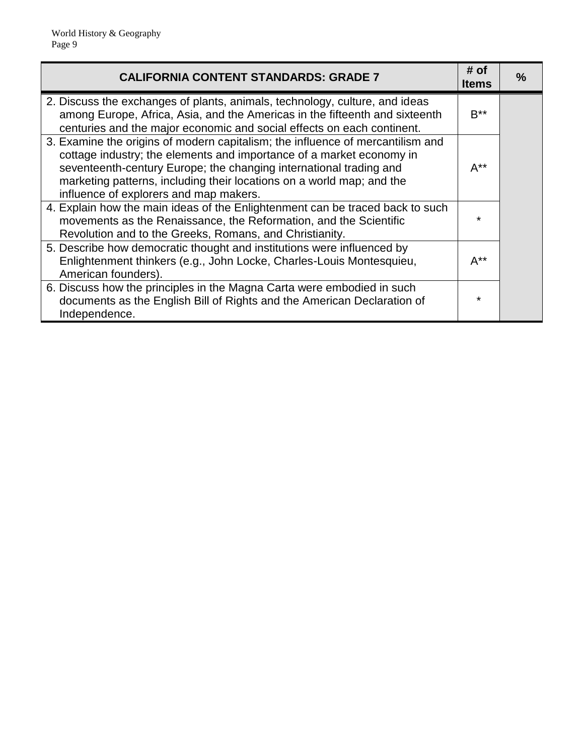| <b>CALIFORNIA CONTENT STANDARDS: GRADE 7</b>                                                                                                                                                                                                                                                                                                    | # of<br>ltems  | $\frac{9}{6}$ |
|-------------------------------------------------------------------------------------------------------------------------------------------------------------------------------------------------------------------------------------------------------------------------------------------------------------------------------------------------|----------------|---------------|
| 2. Discuss the exchanges of plants, animals, technology, culture, and ideas<br>among Europe, Africa, Asia, and the Americas in the fifteenth and sixteenth<br>centuries and the major economic and social effects on each continent.                                                                                                            | $B^{\ast\ast}$ |               |
| 3. Examine the origins of modern capitalism; the influence of mercantilism and<br>cottage industry; the elements and importance of a market economy in<br>seventeenth-century Europe; the changing international trading and<br>marketing patterns, including their locations on a world map; and the<br>influence of explorers and map makers. | $A^{**}$       |               |
| 4. Explain how the main ideas of the Enlightenment can be traced back to such<br>movements as the Renaissance, the Reformation, and the Scientific<br>Revolution and to the Greeks, Romans, and Christianity.                                                                                                                                   |                |               |
| 5. Describe how democratic thought and institutions were influenced by<br>Enlightenment thinkers (e.g., John Locke, Charles-Louis Montesquieu,<br>American founders).                                                                                                                                                                           | $A^{**}$       |               |
| 6. Discuss how the principles in the Magna Carta were embodied in such<br>documents as the English Bill of Rights and the American Declaration of<br>Independence.                                                                                                                                                                              | $\star$        |               |